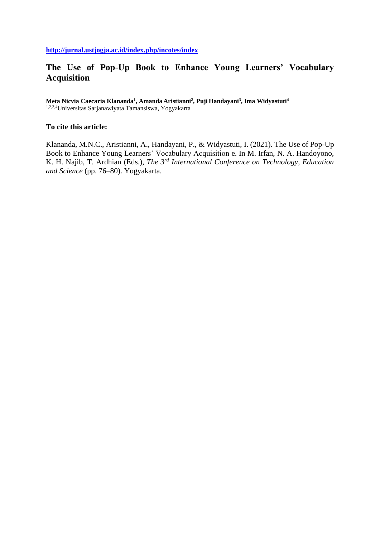# **The Use of Pop-Up Book to Enhance Young Learners' Vocabulary Acquisition**

**Meta Nicvia Caecaria Klananda<sup>1</sup> , Amanda Aristianni<sup>2</sup> , Puji Handayani<sup>3</sup> , Ima Widyastuti<sup>4</sup>** 1,2,3,4Universitas Sarjanawiyata Tamansiswa, Yogyakarta

### **To cite this article:**

Klananda, M.N.C., Aristianni, A., Handayani, P., & Widyastuti, I. (2021). The Use of Pop-Up Book to Enhance Young Learners' Vocabulary Acquisition e. In M. Irfan, N. A. Handoyono, K. H. Najib, T. Ardhian (Eds.), *The 3rd International Conference on Technology, Education and Science* (pp. 76–80). Yogyakarta.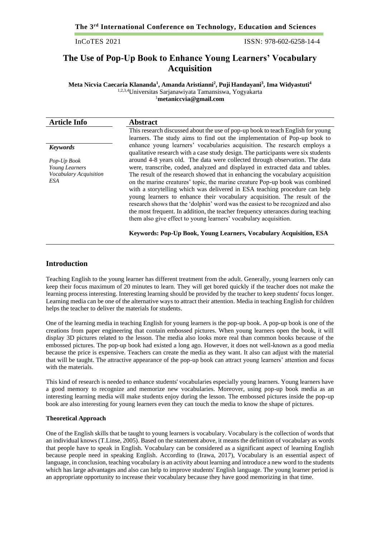**The 3rd International Conference on Technology, Education and Sciences**

ISSN: 978-602-6258-14-4

## **The Use of Pop-Up Book to Enhance Young Learners' Vocabulary Acquisition**

**Meta Nicvia Caecaria Klananda<sup>1</sup> , Amanda Aristianni<sup>2</sup> , Puji Handayani<sup>3</sup> , Ima Widyastuti<sup>4</sup>** 1,2,3,4Universitas Sarjanawiyata Tamansiswa, Yogyakarta <sup>1</sup>**[metaniccvia@gmail.com](mailto:metaniccvia@gmail.com)**

| <b>Article Info</b>    | <b>Abstract</b>                                                                                                                                       |
|------------------------|-------------------------------------------------------------------------------------------------------------------------------------------------------|
|                        | This research discussed about the use of pop-up book to teach English for young                                                                       |
| <b>Keywords</b>        | learners. The study aims to find out the implementation of Pop-up book to<br>enhance young learners' vocabularies acquisition. The research employs a |
|                        | qualitative research with a case study design. The participants were six students                                                                     |
| Pop-Up Book            | around 4-8 years old. The data were collected through observation. The data                                                                           |
| Young Learners         | were, transcribe, coded, analyzed and displayed in extracted data and tables.                                                                         |
| Vocabulary Acquisition | The result of the research showed that in enhancing the vocabulary acquisition                                                                        |
| ESA                    | on the marine creatures' topic, the marine creature Pop-up book was combined                                                                          |
|                        | with a storytelling which was delivered in ESA teaching procedure can help                                                                            |
|                        | young learners to enhance their vocabulary acquisition. The result of the                                                                             |
|                        | research shows that the 'dolphin' word was the easiest to be recognized and also                                                                      |
|                        | the most frequent. In addition, the teacher frequency utterances during teaching                                                                      |
|                        | them also give effect to young learners' vocabulary acquisition.                                                                                      |
|                        |                                                                                                                                                       |

**Keywords: Pop-Up Book, Young Learners, Vocabulary Acquisition, ESA**

#### **Introduction**

Teaching English to the young learner has different treatment from the adult. Generally, young learners only can keep their focus maximum of 20 minutes to learn. They will get bored quickly if the teacher does not make the learning process interesting. Interesting learning should be provided by the teacher to keep students' focus longer. Learning media can be one of the alternative ways to attract their attention. Media in teaching English for children helps the teacher to deliver the materials for students.

One of the learning media in teaching English for young learners is the pop-up book. A pop-up book is one of the creations from paper engineering that contain embossed pictures. When young learners open the book, it will display 3D pictures related to the lesson. The media also looks more real than common books because of the embossed pictures. The pop-up book had existed a long ago. However, it does not well-known as a good media because the price is expensive. Teachers can create the media as they want. It also can adjust with the material that will be taught. The attractive appearance of the pop-up book can attract young learners' attention and focus with the materials.

This kind of research is needed to enhance students' vocabularies especially young learners. Young learners have a good memory to recognize and memorize new vocabularies. Moreover, using pop-up book media as an interesting learning media will make students enjoy during the lesson. The embossed pictures inside the pop-up book are also interesting for young learners even they can touch the media to know the shape of pictures.

#### **Theoretical Approach**

One of the English skills that be taught to young learners is vocabulary. Vocabulary is the collection of words that an individual knows (T.Linse, 2005). Based on the statement above, it means the definition of vocabulary as words that people have to speak in English. Vocabulary can be considered as a significant aspect of learning English because people need in speaking English. According to (Irawa, 2017), Vocabulary is an essential aspect of language, in conclusion, teaching vocabulary is an activity about learning and introduce a new word to the students which has large advantages and also can help to improve students' English language. The young learner period is an appropriate opportunity to increase their vocabulary because they have good memorizing in that time.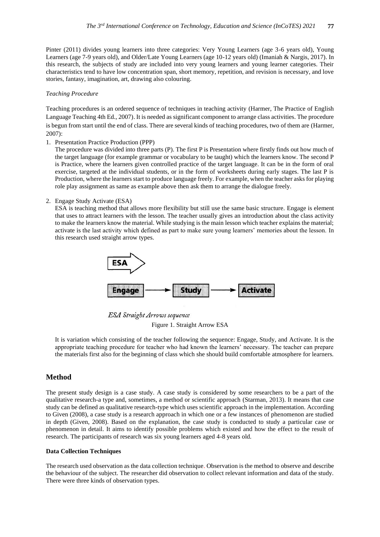Pinter (2011) divides young learners into three categories: Very Young Learners (age 3-6 years old), Young Learners (age 7-9 years old), and Older/Late Young Learners (age 10-12 years old) (Imaniah & Nargis, 2017). In this research, the subjects of study are included into very young learners and young learner categories. Their characteristics tend to have low concentration span, short memory, repetition, and revision is necessary, and love stories, fantasy, imagination, art, drawing also colouring.

#### *Teaching Procedure*

Teaching procedures is an ordered sequence of techniques in teaching activity (Harmer, The Practice of English Language Teaching 4th Ed., 2007). It is needed as significant component to arrange class activities. The procedure is begun from start until the end of class. There are several kinds of teaching procedures, two of them are (Harmer, 2007):

1. Presentation Practice Production (PPP)

The procedure was divided into three parts (P). The first P is Presentation where firstly finds out how much of the target language (for example grammar or vocabulary to be taught) which the learners know. The second P is Practice, where the learners given controlled practice of the target language. It can be in the form of oral exercise, targeted at the individual students, or in the form of worksheets during early stages. The last P is Production, where the learners start to produce language freely. For example, when the teacher asks for playing role play assignment as same as example above then ask them to arrange the dialogue freely.

2. Engage Study Activate (ESA)

ESA is teaching method that allows more flexibility but still use the same basic structure. Engage is element that uses to attract learners with the lesson. The teacher usually gives an introduction about the class activity to make the learners know the material. While studying is the main lesson which teacher explains the material; activate is the last activity which defined as part to make sure young learners' memories about the lesson. In this research used straight arrow types.



**ESA Straight Arrows sequence** 

Figure 1. Straight Arrow ESA

It is variation which consisting of the teacher following the sequence: Engage, Study, and Activate. It is the appropriate teaching procedure for teacher who had known the learners' necessary. The teacher can prepare the materials first also for the beginning of class which she should build comfortable atmosphere for learners.

#### **Method**

The present study design is a case study. A case study is considered by some researchers to be a part of the qualitative research-a type and, sometimes, a method or scientific approach (Starman, 2013). It means that case study can be defined as qualitative research-type which uses scientific approach in the implementation. According to Given (2008), a case study is a research approach in which one or a few instances of phenomenon are studied in depth (Given, 2008). Based on the explanation, the case study is conducted to study a particular case or phenomenon in detail. It aims to identify possible problems which existed and how the effect to the result of research. The participants of research was six young learners aged 4-8 years old.

#### **Data Collection Techniques**

The research used observation as the data collection technique. Observation is the method to observe and describe the behaviour of the subject. The researcher did observation to collect relevant information and data of the study. There were three kinds of observation types.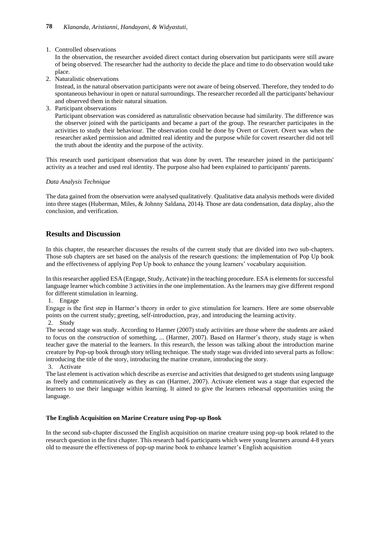#### 1. Controlled observations

In the observation, the researcher avoided direct contact during observation but participants were still aware of being observed. The researcher had the authority to decide the place and time to do observation would take place.

2. Naturalistic observations

Instead, in the natural observation participants were not aware of being observed. Therefore, they tended to do spontaneous behaviour in open or natural surroundings. The researcher recorded all the participants' behaviour and observed them in their natural situation.

3. Participant observations

Participant observation was considered as naturalistic observation because had similarity. The difference was the observer joined with the participants and became a part of the group. The researcher participates in the activities to study their behaviour. The observation could be done by Overt or Covert. Overt was when the researcher asked permission and admitted real identity and the purpose while for covert researcher did not tell the truth about the identity and the purpose of the activity.

This research used participant observation that was done by overt. The researcher joined in the participants' activity as a teacher and used real identity. The purpose also had been explained to participants' parents.

#### *Data Analysis Technique*

The data gained from the observation were analysed qualitatively. Qualitative data analysis methods were divided into three stages (Huberman, Miles, & Johnny Saldana, 2014). Those are data condensation, data display, also the conclusion, and verification.

## **Results and Discussion**

In this chapter, the researcher discusses the results of the current study that are divided into two sub-chapters. Those sub chapters are set based on the analysis of the research questions: the implementation of Pop Up book and the effectiveness of applying Pop Up book to enhance the young learners' vocabulary acquisition.

In this researcher applied ESA (Engage, Study, Activate) in the teaching procedure. ESA is elements for successful language learner which combine 3 activities in the one implementation. As the learners may give different respond for different stimulation in learning.

1. Engage

Engage is the first step in Harmer's theory in order to give stimulation for learners. Here are some observable points on the current study; greeting, self-introduction, pray, and introducing the learning activity. 2. Study

The second stage was study. According to Harmer (2007) study activities are those where the students are asked to focus on the *construction* of something, ... (Harmer, 2007). Based on Harmer's theory, study stage is when teacher gave the material to the learners. In this research, the lesson was talking about the introduction marine creature by Pop-up book through story telling technique. The study stage was divided into several parts as follow: introducing the title of the story, introducing the marine creature, introducing the story.

3. Activate

The last element is activation which describe as exercise and activities that designed to get students using language as freely and communicatively as they as can (Harmer, 2007). Activate element was a stage that expected the learners to use their language within learning. It aimed to give the learners rehearsal opportunities using the language.

#### **The English Acquisition on Marine Creature using Pop-up Book**

In the second sub-chapter discussed the English acquisition on marine creature using pop-up book related to the research question in the first chapter. This research had 6 participants which were young learners around 4-8 years old to measure the effectiveness of pop-up marine book to enhance learner's English acquisition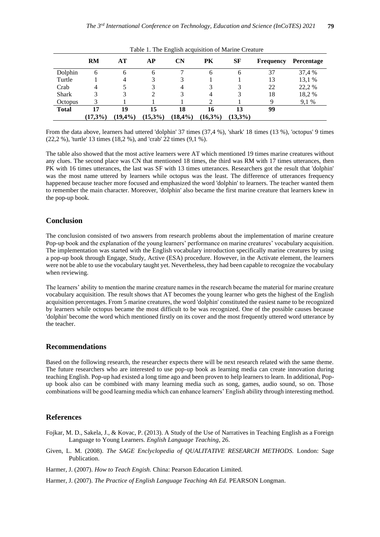|              | RM      | AT     | АP         | $\mathbf{C} \mathbf{N}$ | PK         | SF         | <b>Frequency</b> | Percentage |
|--------------|---------|--------|------------|-------------------------|------------|------------|------------------|------------|
| Dolphin      | 6       | 6      | 6          |                         | 6          | 6          | 37               | 37,4 %     |
| Turtle       |         | 4      |            |                         |            |            | 13               | 13,1 %     |
| Crab         | 4       |        |            | 4                       |            |            | 22               | 22,2 %     |
| <b>Shark</b> |         |        |            |                         | 4          |            | 18               | 18,2%      |
| Octopus      |         |        |            |                         |            |            | Q                | 9.1 %      |
| <b>Total</b> | 17      | 19     | 15         | 18                      | 16         | 13         | 99               |            |
|              | (17,3%) | (19,4% | $(15,3\%)$ | (18,4%)                 | $(16,3\%)$ | $(13,3\%)$ |                  |            |

Table 1. The English acquisition of Marine Creature

From the data above, learners had uttered 'dolphin' 37 times (37,4 %), 'shark' 18 times (13 %), 'octopus' 9 times (22,2 %), 'turtle' 13 times (18,2 %), and 'crab' 22 times (9,1 %).

The table also showed that the most active learners were AT which mentioned 19 times marine creatures without any clues. The second place was CN that mentioned 18 times, the third was RM with 17 times utterances, then PK with 16 times utterances, the last was SF with 13 times utterances. Researchers got the result that 'dolphin' was the most name uttered by learners while octopus was the least. The difference of utterances frequency happened because teacher more focused and emphasized the word 'dolphin' to learners. The teacher wanted them to remember the main character. Moreover, 'dolphin' also became the first marine creature that learners knew in the pop-up book.

#### **Conclusion**

The conclusion consisted of two answers from research problems about the implementation of marine creature Pop-up book and the explanation of the young learners' performance on marine creatures' vocabulary acquisition. The implementation was started with the English vocabulary introduction specifically marine creatures by using a pop-up book through Engage, Study, Active (ESA) procedure. However, in the Activate element, the learners were not be able to use the vocabulary taught yet. Nevertheless, they had been capable to recognize the vocabulary when reviewing.

The learners' ability to mention the marine creature names in the research became the material for marine creature vocabulary acquisition. The result shows that AT becomes the young learner who gets the highest of the English acquisition percentages. From 5 marine creatures, the word 'dolphin' constituted the easiest name to be recognized by learners while octopus became the most difficult to be was recognized. One of the possible causes because 'dolphin' become the word which mentioned firstly on its cover and the most frequently uttered word utterance by the teacher.

#### **Recommendations**

Based on the following research, the researcher expects there will be next research related with the same theme. The future researchers who are interested to use pop-up book as learning media can create innovation during teaching English. Pop-up had existed a long time ago and been proven to help learners to learn. In additional, Popup book also can be combined with many learning media such as song, games, audio sound, so on. Those combinations will be good learning media which can enhance learners' English ability through interesting method.

#### **References**

- Fojkar, M. D., Sakela, J., & Kovac, P. (2013). A Study of the Use of Narratives in Teaching English as a Foreign Language to Young Learners. *English Language Teaching*, 26.
- Given, L. M. (2008). *The SAGE Enclyclopedia of QUALITATIVE RESEARCH METHODS.* London: Sage Publication.
- Harmer, J. (2007). *How to Teach Engish.* China: Pearson Education Limited.
- Harmer, J. (2007). *The Practice of English Language Teaching 4th Ed.* PEARSON Longman.